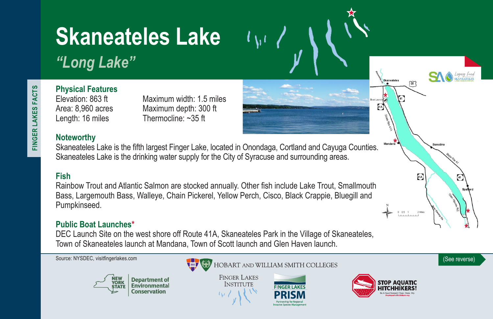# **Skaneateles Lake**

# *"Long Lake"*

# **Physical Features**

Elevation: 863 ft Maximum width: 1.5 miles Area: 8,960 acres Maximum depth: 300 ft Length: 16 miles Thermocline: ~35 ft

### **Noteworthy**

Skaneateles Lake is the fifth largest Finger Lake, located in Onondaga, Cortland and Cayuga Counties. Skaneateles Lake is the drinking water supply for the City of Syracuse and surrounding areas.

## **Fish**

Rainbow Trout and Atlantic Salmon are stocked annually. Other fish include Lake Trout, Smallmouth Bass, Largemouth Bass, Walleye, Chain Pickerel, Yellow Perch, Cisco, Black Crappie, Bluegill and Pumpkinseed.

#### **Public Boat Launches\***

DEC Launch Site on the west shore off Route 41A, Skaneateles Park in the Village of Skaneateles, Town of Skaneateles launch at Mandana, Town of Scott launch and Glen Haven launch.





**FINGER LAKES INSTITUTE** 





Skaneateles

 $520$ 



 $41A$